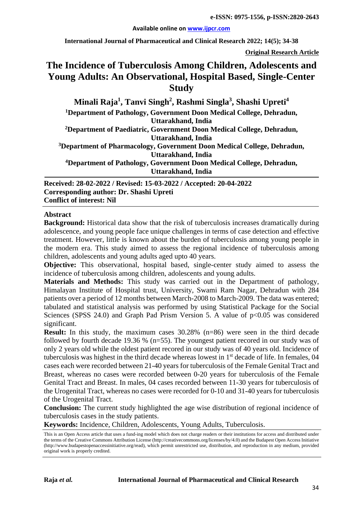#### **Available online on [www.ijpcr.com](http://www.ijpcr.com/)**

**International Journal of Pharmaceutical and Clinical Research 2022; 14(5); 34-38**

**Original Research Article**

# **The Incidence of Tuberculosis Among Children, Adolescents and Young Adults: An Observational, Hospital Based, Single-Center Study**

**Minali Raja1 , Tanvi Singh2 , Rashmi Singla3 , Shashi Upreti<sup>4</sup> 1 Department of Pathology, Government Doon Medical College, Dehradun, Uttarakhand, India 2 Department of Paediatric, Government Doon Medical College, Dehradun, Uttarakhand, India 3 Department of Pharmacology, Government Doon Medical College, Dehradun, Uttarakhand, India 4 Department of Pathology, Government Doon Medical College, Dehradun, Uttarakhand, India**

**Received: 28-02-2022 / Revised: 15-03-2022 / Accepted: 20-04-2022 Corresponding author: Dr. Shashi Upreti Conflict of interest: Nil**

### **Abstract**

**Background:** Historical data show that the risk of tuberculosis increases dramatically during adolescence, and young people face unique challenges in terms of case detection and effective treatment. However, little is known about the burden of tuberculosis among young people in the modern era. This study aimed to assess the regional incidence of tuberculosis among children, adolescents and young adults aged upto 40 years.

**Objective:** This observational, hospital based, single-center study aimed to assess the incidence of tuberculosis among children, adolescents and young adults.

**Materials and Methods:** This study was carried out in the Department of pathology, Himalayan Institute of Hospital trust, University, Swami Ram Nagar, Dehradun with 284 patients over a period of 12 months between March-2008 to March-2009. The data was entered; tabulated and statistical analysis was performed by using Statistical Package for the Social Sciences (SPSS 24.0) and Graph Pad Prism Version 5. A value of  $p<0.05$  was considered significant.

**Result:** In this study, the maximum cases 30.28% (n=86) were seen in the third decade followed by fourth decade 19.36 % (n=55). The youngest patient recored in our study was of only 2 years old while the oldest patient recored in our study was of 40 years old. Incidence of tuberculosis was highest in the third decade whereas lowest in 1st decade of life. In females, 04 cases each were recorded between 21-40 years for tuberculosis of the Female Genital Tract and Breast, whereas no cases were recorded between 0-20 years for tuberculosis of the Female Genital Tract and Breast. In males, 04 cases recorded between 11-30 years for tuberculosis of the Urogenital Tract, whereas no cases were recorded for 0-10 and 31-40 years for tuberculosis of the Urogenital Tract.

**Conclusion:** The current study highlighted the age wise distribution of regional incidence of tuberculosis cases in the study patients.

**Keywords:** Incidence, Children, Adolescents, Young Adults, Tuberculosis.

This is an Open Access article that uses a fund-ing model which does not charge readers or their institutions for access and distributed under the terms of the Creative Commons Attribution License (http://creativecommons.org/licenses/by/4.0) and the Budapest Open Access Initiative (http://www.budapestopenaccessinitiative.org/read), which permit unrestricted use, distribution, and reproduction in any medium, provided original work is properly credited.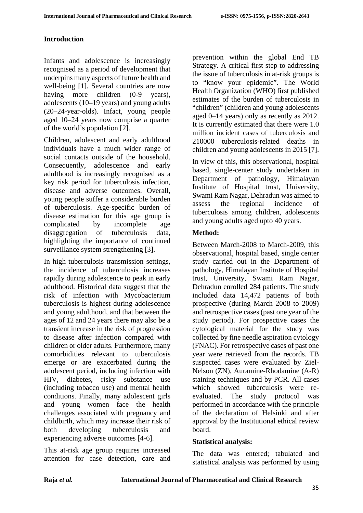## **Introduction**

Infants and adolescence is increasingly recognised as a period of development that underpins many aspects of future health and well-being [1]. Several countries are now having more children (0-9 years), adolescents (10–19 years) and young adults (20–24-year-olds). Infact, young people aged 10–24 years now comprise a quarter of the world's population [2].

Children, adolescent and early adulthood individuals have a much wider range of social contacts outside of the household. Consequently, adolescence and early adulthood is increasingly recognised as a key risk period for tuberculosis infection, disease and adverse outcomes. Overall, young people suffer a considerable burden of tuberculosis. Age-specific burden of disease estimation for this age group is complicated by incomplete age disaggregation of tuberculosis data, highlighting the importance of continued surveillance system strengthening [3].

In high tuberculosis transmission settings, the incidence of tuberculosis increases rapidly during adolescence to peak in early adulthood. Historical data suggest that the risk of infection with Mycobacterium tuberculosis is highest during adolescence and young adulthood, and that between the ages of 12 and 24 years there may also be a transient increase in the risk of progression to disease after infection compared with children or older adults. Furthermore, many comorbidities relevant to tuberculosis emerge or are exacerbated during the adolescent period, including infection with HIV, diabetes, risky substance use (including tobacco use) and mental health conditions. Finally, many adolescent girls and young women face the health challenges associated with pregnancy and childbirth, which may increase their risk of both developing tuberculosis and experiencing adverse outcomes [4-6].

This at-risk age group requires increased attention for case detection, care and prevention within the global End TB Strategy. A critical first step to addressing the issue of tuberculosis in at-risk groups is to "know your epidemic". The World Health Organization (WHO) first published estimates of the burden of tuberculosis in "children" (children and young adolescents aged 0–14 years) only as recently as 2012. It is currently estimated that there were 1.0 million incident cases of tuberculosis and 210000 tuberculosis-related deaths in children and young adolescents in 2015 [7].

In view of this, this observational, hospital based, single-center study undertaken in Department of pathology, Himalayan Institute of Hospital trust, University, Swami Ram Nagar, Dehradun was aimed to assess the regional incidence of tuberculosis among children, adolescents and young adults aged upto 40 years.

## **Method:**

Between March-2008 to March-2009, this observational, hospital based, single center study carried out in the Department of pathology, Himalayan Institute of Hospital trust, University, Swami Ram Nagar, Dehradun enrolled 284 patients. The study included data 14,472 patients of both prospective (during March 2008 to 2009) and retrospective cases (past one year of the study period). For prospective cases the cytological material for the study was collected by fine needle aspiration cytology (FNAC). For retrospective cases of past one year were retrieved from the records. TB suspected cases were evaluated by Ziel-Nelson (ZN), Auramine-Rhodamine (A-R) staining techniques and by PCR. All cases which showed tuberculosis were reevaluated. The study protocol was performed in accordance with the principle of the declaration of Helsinki and after approval by the Institutional ethical review board.

## **Statistical analysis:**

The data was entered; tabulated and statistical analysis was performed by using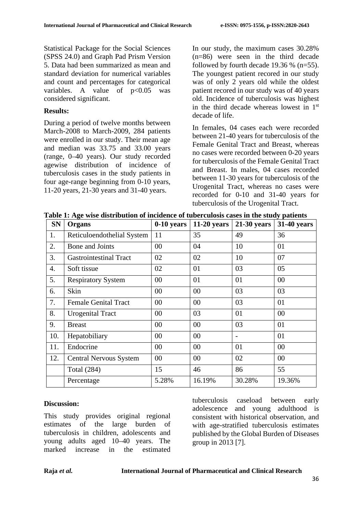Statistical Package for the Social Sciences (SPSS 24.0) and Graph Pad Prism Version 5. Data had been summarized as mean and standard deviation for numerical variables and count and percentages for categorical variables. A value of  $p<0.05$  was considered significant.

### **Results:**

During a period of twelve months between March-2008 to March-2009, 284 patients were enrolled in our study. Their mean age and median was 33.75 and 33.00 years (range, 0–40 years). Our study recorded agewise distribution of incidence of tuberculosis cases in the study patients in four age-range beginning from 0-10 years, 11-20 years, 21-30 years and 31-40 years.

In our study, the maximum cases 30.28% (n=86) were seen in the third decade followed by fourth decade  $19.36\%$  (n=55). The youngest patient recored in our study was of only 2 years old while the oldest patient recored in our study was of 40 years old. Incidence of tuberculosis was highest in the third decade whereas lowest in 1st decade of life.

In females, 04 cases each were recorded between 21-40 years for tuberculosis of the Female Genital Tract and Breast, whereas no cases were recorded between 0-20 years for tuberculosis of the Female Genital Tract and Breast. In males, 04 cases recorded between 11-30 years for tuberculosis of the Urogenital Tract, whereas no cases were recorded for 0-10 and 31-40 years for tuberculosis of the Urogenital Tract.

| <b>SN</b> | Organs                        | $0-10$ years | $11-20$ years | $21-30$ years  | 31-40 years |
|-----------|-------------------------------|--------------|---------------|----------------|-------------|
| 1.        | Reticuloendothelial System    | 11           | 35            | 49             | 36          |
| 2.        | Bone and Joints               | $00\,$       | 04            | 10             | 01          |
| 3.        | <b>Gastrointestinal Tract</b> | 02           | 02            | 10             | 07          |
| 4.        | Soft tissue                   | 02           | 01            | 03             | 05          |
| 5.        | <b>Respiratory System</b>     | $00\,$       | 01            | 01             | $00\,$      |
| 6.        | Skin                          | $00\,$       | $00\,$        | 03             | 03          |
| 7.        | <b>Female Genital Tract</b>   | $00\,$       | $00\,$        | 03             | 01          |
| 8.        | <b>Urogenital Tract</b>       | $00\,$       | 03            | 01             | 00          |
| 9.        | <b>Breast</b>                 | $00\,$       | $00\,$        | 03             | 01          |
| 10.       | Hepatobiliary                 | 00           | $00\,$        | $\overline{a}$ | 01          |
| 11.       | Endocrine                     | 00           | $00\,$        | 01             | 00          |
| 12.       | <b>Central Nervous System</b> | $00\,$       | $00\,$        | 02             | 00          |
|           | <b>Total</b> (284)            | 15           | 46            | 86             | 55          |
|           | Percentage                    | 5.28%        | 16.19%        | 30.28%         | 19.36%      |

**Table 1: Age wise distribution of incidence of tuberculosis cases in the study patients**

### **Discussion:**

This study provides original regional estimates of the large burden of tuberculosis in children, adolescents and young adults aged 10–40 years. The marked increase in the estimated

tuberculosis caseload between early adolescence and young adulthood is consistent with historical observation, and with age-stratified tuberculosis estimates published by the Global Burden of Diseases group in 2013 [7].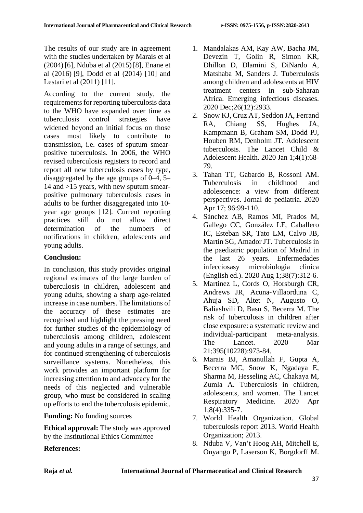The results of our study are in agreement with the studies undertaken by Marais et al (2004)[6], Nduba et al (2015)[8], Enane et al (2016) [9], Dodd et al (2014) [10] and Lestari et al (2011) [11].

According to the current study, the requirements for reporting tuberculosis data to the WHO have expanded over time as tuberculosis control strategies have widened beyond an initial focus on those cases most likely to contribute to transmission, i.e. cases of sputum smearpositive tuberculosis. In 2006, the WHO revised tuberculosis registers to record and report all new tuberculosis cases by type, disaggregated by the age groups of 0–4, 5– 14 and >15 years, with new sputum smearpositive pulmonary tuberculosis cases in adults to be further disaggregated into 10 year age groups [12]. Current reporting practices still do not allow direct determination of the numbers of notifications in children, adolescents and young adults.

## **Conclusion:**

In conclusion, this study provides original regional estimates of the large burden of tuberculosis in children, adolescent and young adults, showing a sharp age-related increase in case numbers. The limitations of the accuracy of these estimates are recognised and highlight the pressing need for further studies of the epidemiology of tuberculosis among children, adolescent and young adults in a range of settings, and for continued strengthening of tuberculosis surveillance systems. Nonetheless, this work provides an important platform for increasing attention to and advocacy for the needs of this neglected and vulnerable group, who must be considered in scaling up efforts to end the tuberculosis epidemic.

## **Funding:** No funding sources

**Ethical approval:** The study was approved by the Institutional Ethics Committee

- 1. Mandalakas AM, Kay AW, Bacha JM, Devezin T, Golin R, Simon KR, Dhillon D, Dlamini S, DiNardo A, Matshaba M, Sanders J. Tuberculosis among children and adolescents at HIV treatment centers in sub-Saharan Africa. Emerging infectious diseases. 2020 Dec;26(12):2933.
- 2. Snow KJ, Cruz AT, Seddon JA, Ferrand RA, Chiang SS, Hughes JA, Kampmann B, Graham SM, Dodd PJ, Houben RM, Denholm JT. Adolescent tuberculosis. The Lancet Child & Adolescent Health. 2020 Jan 1;4(1):68- 79.
- 3. Tahan TT, Gabardo B, Rossoni AM. Tuberculosis in childhood and adolescence: a view from different perspectives. Jornal de pediatria. 2020 Apr 17; 96:99-110.
- 4. Sánchez AB, Ramos MI, Prados M, Gallego CC, González LF, Caballero IC, Esteban SR, Tato LM, Calvo JB, Martín SG, Amador JT. Tuberculosis in the paediatric population of Madrid in the last 26 years. Enfermedades infecciosasy microbiologia clinica (English ed.). 2020 Aug 1;38(7):312-6.
- 5. Martinez L, Cords O, Horsburgh CR, Andrews JR, Acuna-Villaorduna C, Ahuja SD, Altet N, Augusto O, Baliashvili D, Basu S, Becerra M. The risk of tuberculosis in children after close exposure: a systematic review and individual-participant meta-analysis. The Lancet. 2020 Mar 21;395(10228):973-84.
- 6. Marais BJ, Amanullah F, Gupta A, Becerra MC, Snow K, Ngadaya E, Sharma M, Hesseling AC, Chakaya M, Zumla A. Tuberculosis in children, adolescents, and women. The Lancet Respiratory Medicine. 2020 Apr 1;8(4):335-7.
- 7. World Health Organization. Global tuberculosis report 2013. World Health Organization; 2013.
- 8. Nduba V, Van't Hoog AH, Mitchell E, Onyango P, Laserson K, Borgdorff M.

## **References:**